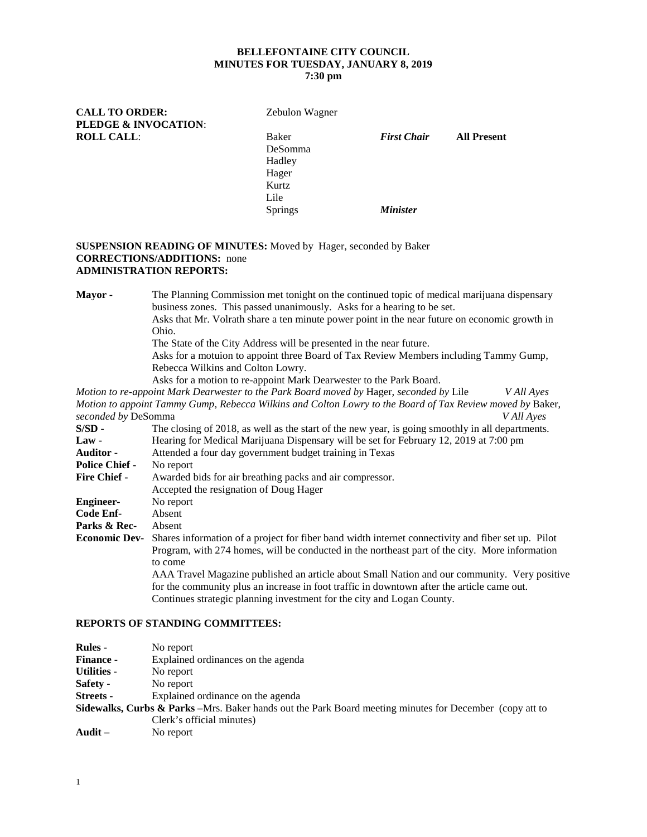# **BELLEFONTAINE CITY COUNCIL MINUTES FOR TUESDAY, JANUARY 8, 2019**

## **7:30 pm**

| <b>CALL TO ORDER:</b>           | Zebulon Wagner |                        |                    |
|---------------------------------|----------------|------------------------|--------------------|
| <b>PLEDGE &amp; INVOCATION:</b> |                |                        |                    |
| <b>ROLL CALL:</b>               | Baker          | <b>First Chair</b>     | <b>All Present</b> |
|                                 | DeSomma        |                        |                    |
|                                 | Hadley         |                        |                    |
|                                 | Hager          |                        |                    |
|                                 | Kurtz          |                        |                    |
|                                 | Lile           |                        |                    |
|                                 | <b>Springs</b> | <i><b>Minister</b></i> |                    |
|                                 |                |                        |                    |

#### **SUSPENSION READING OF MINUTES:** Moved by Hager, seconded by Baker **CORRECTIONS/ADDITIONS:** none **ADMINISTRATION REPORTS:**

**Mayor -** The Planning Commission met tonight on the continued topic of medical marijuana dispensary business zones. This passed unanimously. Asks for a hearing to be set. Asks that Mr. Volrath share a ten minute power point in the near future on economic growth in

Ohio.

The State of the City Address will be presented in the near future.

Asks for a motuion to appoint three Board of Tax Review Members including Tammy Gump, Rebecca Wilkins and Colton Lowry.

Asks for a motion to re-appoint Mark Dearwester to the Park Board.

*Motion to re-appoint Mark Dearwester to the Park Board moved by* Hager, *seconded by* Lile *V All Ayes Motion to appoint Tammy Gump, Rebecca Wilkins and Colton Lowry to the Board of Tax Review moved by* Baker, *seconded by* DeSomma *V All Ayes*

| $S/SD -$              | The closing of 2018, as well as the start of the new year, is going smoothly in all departments.   |
|-----------------------|----------------------------------------------------------------------------------------------------|
| $Law -$               | Hearing for Medical Marijuana Dispensary will be set for February 12, 2019 at 7:00 pm              |
| <b>Auditor -</b>      | Attended a four day government budget training in Texas                                            |
| <b>Police Chief -</b> | No report                                                                                          |
| <b>Fire Chief -</b>   | Awarded bids for air breathing packs and air compressor.                                           |
|                       | Accepted the resignation of Doug Hager                                                             |
| <b>Engineer-</b>      | No report                                                                                          |
| Code Enf-             | Absent                                                                                             |
| Parks & Rec-          | Absent                                                                                             |
| <b>Economic Dev-</b>  | Shares information of a project for fiber band width internet connectivity and fiber set up. Pilot |
|                       | Program, with 274 homes, will be conducted in the northeast part of the city. More information     |
|                       | to come                                                                                            |
|                       | AAA Travel Magazine published an article about Small Nation and our community. Very positive       |
|                       | for the community plus an increase in foot traffic in downtown after the article came out.         |
|                       | Continues strategic planning investment for the city and Logan County.                             |

### **REPORTS OF STANDING COMMITTEES:**

| <b>Rules -</b>   | No report                                                                                                           |
|------------------|---------------------------------------------------------------------------------------------------------------------|
| <b>Finance -</b> | Explained ordinances on the agenda                                                                                  |
| Utilities -      | No report                                                                                                           |
| <b>Safety -</b>  | No report                                                                                                           |
| <b>Streets -</b> | Explained ordinance on the agenda                                                                                   |
|                  | <b>Sidewalks, Curbs &amp; Parks</b> – Mrs. Baker hands out the Park Board meeting minutes for December (copy att to |
|                  | Clerk's official minutes)                                                                                           |
| Audit –          | No report                                                                                                           |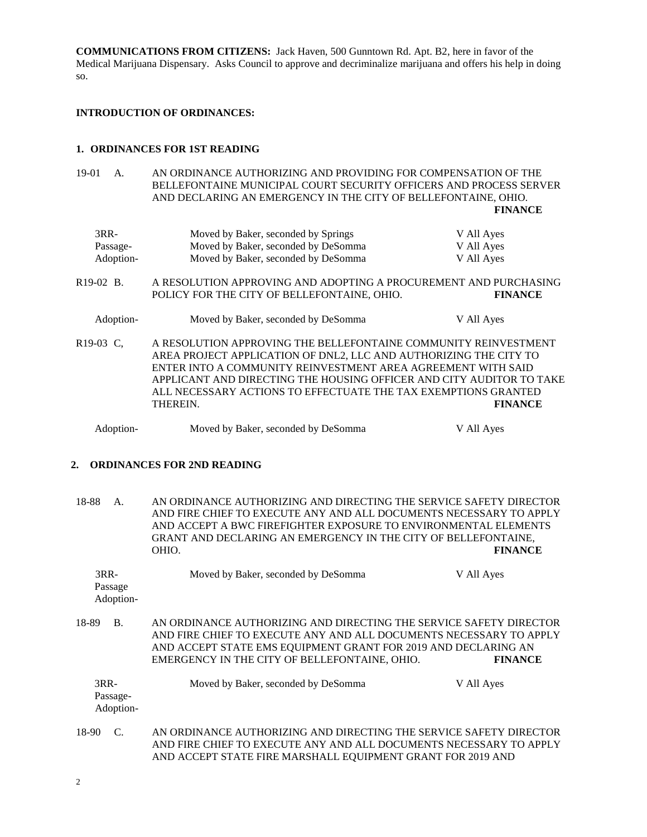**COMMUNICATIONS FROM CITIZENS:** Jack Haven, 500 Gunntown Rd. Apt. B2, here in favor of the Medical Marijuana Dispensary. Asks Council to approve and decriminalize marijuana and offers his help in doing so.

#### **INTRODUCTION OF ORDINANCES:**

#### **1. ORDINANCES FOR 1ST READING**

19-01 A. AN ORDINANCE AUTHORIZING AND PROVIDING FOR COMPENSATION OF THE BELLEFONTAINE MUNICIPAL COURT SECURITY OFFICERS AND PROCESS SERVER AND DECLARING AN EMERGENCY IN THE CITY OF BELLEFONTAINE, OHIO. **FINANCE**

| 3RR-      | Moved by Baker, seconded by Springs | V All Ayes |
|-----------|-------------------------------------|------------|
| Passage-  | Moved by Baker, seconded by DeSomma | V All Ayes |
| Adoption- | Moved by Baker, seconded by DeSomma | V All Ayes |

- R19-02 B. A RESOLUTION APPROVING AND ADOPTING A PROCUREMENT AND PURCHASING<br>POLICY FOR THE CITY OF BELLEFONTAINE. OHIO. FINANCE POLICY FOR THE CITY OF BELLEFONTAINE, OHIO.
	- Adoption- Moved by Baker, seconded by DeSomma V All Ayes
- R19-03 C, A RESOLUTION APPROVING THE BELLEFONTAINE COMMUNITY REINVESTMENT AREA PROJECT APPLICATION OF DNL2, LLC AND AUTHORIZING THE CITY TO ENTER INTO A COMMUNITY REINVESTMENT AREA AGREEMENT WITH SAID APPLICANT AND DIRECTING THE HOUSING OFFICER AND CITY AUDITOR TO TAKE ALL NECESSARY ACTIONS TO EFFECTUATE THE TAX EXEMPTIONS GRANTED THEREIN. **FINANCE**

Adoption- Moved by Baker, seconded by DeSomma V All Ayes

## **2. ORDINANCES FOR 2ND READING**

18-88 A. AN ORDINANCE AUTHORIZING AND DIRECTING THE SERVICE SAFETY DIRECTOR AND FIRE CHIEF TO EXECUTE ANY AND ALL DOCUMENTS NECESSARY TO APPLY AND ACCEPT A BWC FIREFIGHTER EXPOSURE TO ENVIRONMENTAL ELEMENTS GRANT AND DECLARING AN EMERGENCY IN THE CITY OF BELLEFONTAINE, OHIO. **FINANCE**

3RR- Moved by Baker, seconded by DeSomma V All Ayes Passage Adoption-18-89 B. AN ORDINANCE AUTHORIZING AND DIRECTING THE SERVICE SAFETY DIRECTOR AND FIRE CHIEF TO EXECUTE ANY AND ALL DOCUMENTS NECESSARY TO APPLY AND ACCEPT STATE EMS EQUIPMENT GRANT FOR 2019 AND DECLARING AN EMERGENCY IN THE CITY OF BELLEFONTAINE, OHIO. **FINANCE** 3RR- Moved by Baker, seconded by DeSomma V All Ayes Passage-Adoption-

18-90 C. AN ORDINANCE AUTHORIZING AND DIRECTING THE SERVICE SAFETY DIRECTOR AND FIRE CHIEF TO EXECUTE ANY AND ALL DOCUMENTS NECESSARY TO APPLY AND ACCEPT STATE FIRE MARSHALL EQUIPMENT GRANT FOR 2019 AND